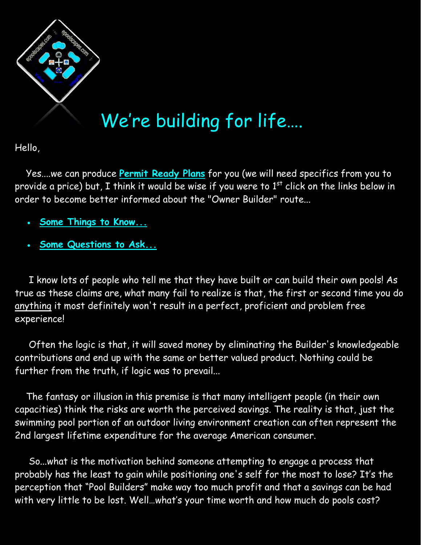

## We're building for life….

Hello,

 Yes....we can produce **[Permit Ready Plans](http://www.epoolscapes.com/wp-content/uploads/2011/01/Sample-Permit-Ready-Pool-Plan-SS.pdf)** for you (we will need specifics from you to provide a price) but, I think it would be wise if you were to  $1<sup>st</sup>$  click on the links below in order to become better informed about the "Owner Builder" route...

- **[Some Things to Know...](http://www.epoolscapes.com/wp-content/uploads/2012/02/Owner-Builder-Things-To-Know-SS.pdf)**
- **[Some Questions to Ask...](http://www.epoolscapes.com/swimming-pool-landscape-construction-payments-schedule-contract-terms-process-agreement-timeframe/swimming-pool-spa-landscape-construction-terminology-contractural-agreement-conditions/contracting-rules-regulations-guidelines/)**

 I know lots of people who tell me that they have built or can build their own pools! As true as these claims are, what many fail to realize is that, the first or second time you do anything it most definitely won't result in a perfect, proficient and problem free experience!

 Often the logic is that, it will saved money by eliminating the Builder's knowledgeable contributions and end up with the same or better valued product. Nothing could be further from the truth, if logic was to prevail...

 The fantasy or illusion in this premise is that many intelligent people (in their own capacities) think the risks are worth the perceived savings. The reality is that, just the swimming pool portion of an outdoor living environment creation can often represent the 2nd largest lifetime expenditure for the average American consumer.

 So...what is the motivation behind someone attempting to engage a process that probably has the least to gain while positioning one's self for the most to lose? It's the perception that "Pool Builders" make way too much profit and that a savings can be had with very little to be lost. Well…what's your time worth and how much do pools cost?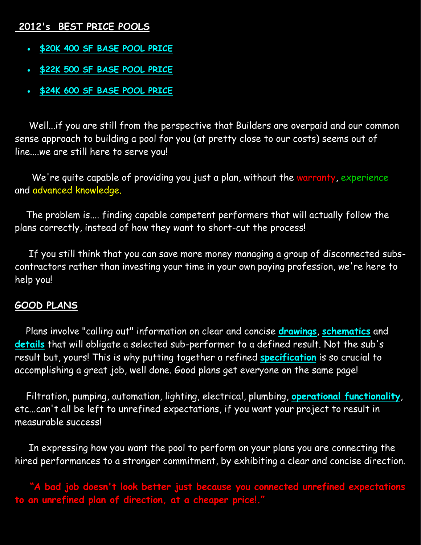## **2012's BEST PRICE POOLS**

- **[\\$20K 400 SF BASE POOL PRICE](http://www.epoolscapes.com/?attachment_id=3092)**
- **[\\$22K 500 SF BASE POOL PRICE](http://www.epoolscapes.com/?attachment_id=3097)**
- **[\\$24K 600 SF BASE POOL PRICE](http://www.epoolscapes.com/?attachment_id=3112)**

 Well...if you are still from the perspective that Builders are overpaid and our common sense approach to building a pool for you (at pretty close to our costs) seems out of line....we are still here to serve you!

We're quite capable of providing you just a plan, without the warranty, experience and advanced knowledge.

The problem is.... finding capable competent performers that will actually follow the plans correctly, instead of how they want to short-cut the process!

 If you still think that you can save more money managing a group of disconnected subscontractors rather than investing your time in your own paying profession, we're here to help you!

## **GOOD PLANS**

 Plans involve "calling out" information on clear and concise **[drawings](http://www.epoolscapes.com/wp-content/uploads/2011/01/Pool-Sample-Dimensional-Layout-SS.pdf)**, **[schematics](http://www.epoolscapes.com/wp-content/uploads/2011/01/D-SAMPLE-EQUIP.-PAD-2-SS.pdf)** and **[details](http://www.epoolscapes.com/wp-content/uploads/2011/01/GUNITE-WALL-DETAIL-SS.pdf)** that will obligate a selected sub-performer to a defined result. Not the sub's result but, yours! This is why putting together a refined **[specification](http://www.epoolscapes.com/wp-content/uploads/2011/01/P-1-BID-BASE-TEMPLETE-2011-SS.pdf)** is so crucial to accomplishing a great job, well done. Good plans get everyone on the same page!

 Filtration, pumping, automation, lighting, electrical, plumbing, **[operational functionality](http://www.epoolscapes.com/wp-content/uploads/2010/12/F-ELEMENTS-IN-DESIGN-SS.pdf)**, etc...can't all be left to unrefined expectations, if you want your project to result in measurable success!

 In expressing how you want the pool to perform on your plans you are connecting the hired performances to a stronger commitment, by exhibiting a clear and concise direction.

 **"A bad job doesn't look better just because you connected unrefined expectations to an unrefined plan of direction, at a cheaper price!."**